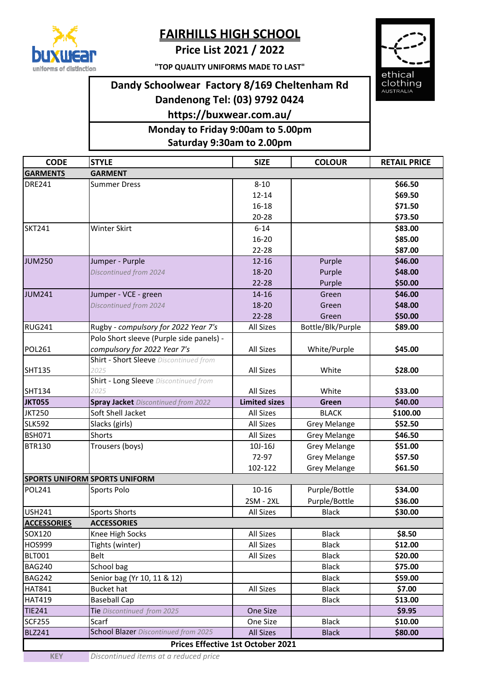

## **FAIRHILLS HIGH SCHOOL**

**Price List 2021 / 2022**

**"TOP QUALITY UNIFORMS MADE TO LAST"**

## **Dandy Schoolwear Factory 8/169 Cheltenham Rd Dandenong Tel: (03) 9792 0424**

**https://buxwear.com.au/**

**Saturday 9:30am to 2.00pm Monday to Friday 9:00am to 5.00pm**



| <b>CODE</b>                                                                                                  | <b>STYLE</b>                               | <b>SIZE</b>          | <b>COLOUR</b>       | <b>RETAIL PRICE</b> |
|--------------------------------------------------------------------------------------------------------------|--------------------------------------------|----------------------|---------------------|---------------------|
| <b>GARMENTS</b>                                                                                              | <b>GARMENT</b>                             |                      |                     |                     |
| <b>DRE241</b>                                                                                                | <b>Summer Dress</b>                        | $8 - 10$             |                     | \$66.50             |
|                                                                                                              |                                            | $12 - 14$            |                     | \$69.50             |
|                                                                                                              |                                            | $16 - 18$            |                     | \$71.50             |
|                                                                                                              |                                            | $20 - 28$            |                     | \$73.50             |
| <b>SKT241</b>                                                                                                | <b>Winter Skirt</b>                        | $6 - 14$             |                     | \$83.00             |
|                                                                                                              |                                            | $16 - 20$            |                     | \$85.00             |
|                                                                                                              |                                            | $22 - 28$            |                     | \$87.00             |
| <b>JUM250</b>                                                                                                |                                            | $12 - 16$            |                     | \$46.00             |
|                                                                                                              | Jumper - Purple                            |                      | Purple              |                     |
|                                                                                                              | Discontinued from 2024                     | 18-20                | Purple              | \$48.00             |
|                                                                                                              |                                            | $22 - 28$            | Purple              | \$50.00             |
| <b>JUM241</b>                                                                                                | Jumper - VCE - green                       | $14 - 16$            | Green               | \$46.00             |
|                                                                                                              | Discontinued from 2024                     | 18-20                | Green               | \$48.00             |
|                                                                                                              |                                            | $22 - 28$            | Green               | \$50.00             |
| <b>RUG241</b>                                                                                                | Rugby - compulsory for 2022 Year 7's       | <b>All Sizes</b>     | Bottle/Blk/Purple   | \$89.00             |
|                                                                                                              | Polo Short sleeve (Purple side panels) -   |                      |                     |                     |
| POL261                                                                                                       | compulsory for 2022 Year 7's               | All Sizes            | White/Purple        | \$45.00             |
|                                                                                                              | Shirt - Short Sleeve Discontinued from     |                      |                     |                     |
| SHT135                                                                                                       | 2025                                       | All Sizes            | White               | \$28.00             |
|                                                                                                              | Shirt - Long Sleeve Discontinued from      |                      |                     |                     |
| SHT134                                                                                                       | 2025                                       | <b>All Sizes</b>     | White               | \$33.00             |
| <b>JKT055</b>                                                                                                | <b>Spray Jacket</b> Discontinued from 2022 | <b>Limited sizes</b> | Green               | \$40.00             |
| <b>JKT250</b>                                                                                                | Soft Shell Jacket                          | All Sizes            | <b>BLACK</b>        | \$100.00            |
| <b>SLK592</b>                                                                                                | Slacks (girls)                             | <b>All Sizes</b>     | <b>Grey Melange</b> | \$52.50             |
| <b>BSH071</b>                                                                                                | Shorts                                     | All Sizes            | <b>Grey Melange</b> | \$46.50             |
|                                                                                                              |                                            |                      |                     |                     |
|                                                                                                              | Trousers (boys)                            | 10J-16J              | <b>Grey Melange</b> | \$51.00             |
|                                                                                                              |                                            | 72-97                | <b>Grey Melange</b> | \$57.50             |
|                                                                                                              |                                            | 102-122              | <b>Grey Melange</b> | \$61.50             |
|                                                                                                              | <b>SPORTS UNIFORM SPORTS UNIFORM</b>       |                      |                     |                     |
|                                                                                                              | Sports Polo                                | $10 - 16$            | Purple/Bottle       | \$34.00             |
|                                                                                                              |                                            | 2SM - 2XL            | Purple/Bottle       | \$36.00             |
|                                                                                                              | <b>Sports Shorts</b>                       | All Sizes            | <b>Black</b>        | \$30.00             |
| <b>BTR130</b><br><b>POL241</b><br><b>USH241</b><br><b>ACCESSORIES</b>                                        | <b>ACCESSORIES</b>                         |                      |                     |                     |
|                                                                                                              | Knee High Socks                            | All Sizes            | <b>Black</b>        | \$8.50              |
|                                                                                                              | Tights (winter)                            | All Sizes            | <b>Black</b>        | \$12.00             |
|                                                                                                              | Belt                                       | All Sizes            | <b>Black</b>        | \$20.00             |
|                                                                                                              | School bag                                 |                      | <b>Black</b>        | \$75.00             |
|                                                                                                              | Senior bag (Yr 10, 11 & 12)                |                      | <b>Black</b>        | \$59.00             |
|                                                                                                              | <b>Bucket hat</b>                          | All Sizes            | <b>Black</b>        | \$7.00              |
| SOX120<br><b>HOS999</b><br><b>BLT001</b><br><b>BAG240</b><br><b>BAG242</b><br><b>HAT841</b><br><b>HAT419</b> | <b>Baseball Cap</b>                        |                      | <b>Black</b>        | \$13.00             |
| <b>TIE241</b>                                                                                                | Tie Discontinued from 2025                 | One Size             |                     | \$9.95              |
| <b>SCF255</b>                                                                                                | Scarf                                      | One Size             | <b>Black</b>        | \$10.00             |
| <b>BLZ241</b>                                                                                                | School Blazer Discontinued from 2025       | <b>All Sizes</b>     | <b>Black</b>        | \$80.00             |